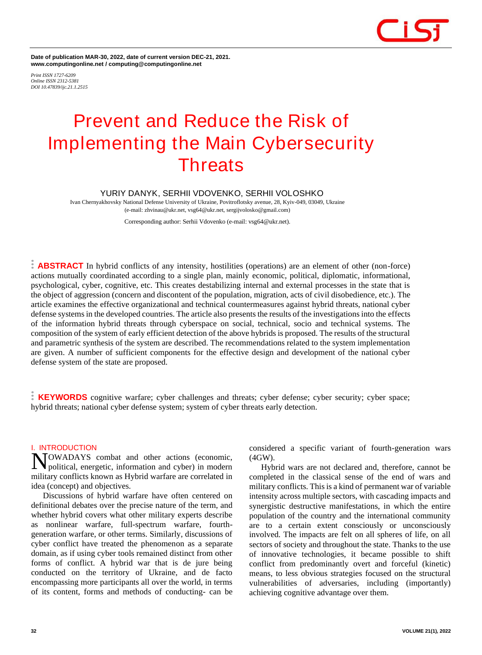

**Date of publication MAR-30, 2022, date of current version DEC-21, 2021. www.computingonline.net / computing@computingonline.net**

*Print ISSN 1727-6209 Online ISSN 2312-5381 DOI 10.47839/ijc.21.1.2515*

### **Prevent and Reduce the Risk of Implementing the Main Cybersecurity Threats**

#### **YURIY DANYK, SERHII VDOVENKO, SERHII VOLOSHKO**

Ivan Chernyakhovsky National Defense University of Ukraine, Povitroflotsky avenue, 28, Kyiv-049, 03049, Ukraine (e-mail: zhvinau@ukr.net, vsg64@ukr.net, sergijvolosko@gmail.com)

Corresponding author: Serhii Vdovenko (e-mail: vsg64@ukr.net).

**ABSTRACT** In hybrid conflicts of any intensity, hostilities (operations) are an element of other (non-force) actions mutually coordinated according to a single plan, mainly economic, political, diplomatic, informational, psychological, cyber, cognitive, etc. This creates destabilizing internal and external processes in the state that is the object of aggression (concern and discontent of the population, migration, acts of civil disobedience, etc.). The article examines the effective organizational and technical countermeasures against hybrid threats, national cyber defense systems in the developed countries. The article also presents the results of the investigations into the effects of the information hybrid threats through cyberspace on social, technical, socio and technical systems. The composition of the system of early efficient detection of the above hybrids is proposed. The results of the structural and parametric synthesis of the system are described. The recommendations related to the system implementation are given. A number of sufficient components for the effective design and development of the national cyber defense system of the state are proposed.

**KEYWORDS** cognitive warfare; cyber challenges and threats; cyber defense; cyber security; cyber space; hybrid threats; national cyber defense system; system of cyber threats early detection.

#### **I. INTRODUCTION**

NOWADAYS combat and other actions (economic,<br>Nopolitical, energetic, information and cyber) in modern political, energetic, information and cyber) in modern military conflicts known as Hybrid warfare are correlated in idea (concept) and objectives.

Discussions of hybrid warfare have often centered on definitional debates over the precise nature of the term, and whether hybrid covers what other military experts describe as nonlinear warfare, full-spectrum warfare, fourthgeneration warfare, or other terms. Similarly, discussions of cyber conflict have treated the phenomenon as a separate domain, as if using cyber tools remained distinct from other forms of conflict. A hybrid war that is de jure being conducted on the territory of Ukraine, and de facto encompassing more participants all over the world, in terms of its content, forms and methods of conducting- can be

considered a specific variant of fourth-generation wars (4GW).

Hybrid wars are not declared and, therefore, cannot be completed in the classical sense of the end of wars and military conflicts. This is a kind of permanent war of variable intensity across multiple sectors, with cascading impacts and synergistic destructive manifestations, in which the entire population of the country and the international community are to a certain extent consciously or unconsciously involved. The impacts are felt on all spheres of life, on all sectors of society and throughout the state. Thanks to the use of innovative technologies, it became possible to shift conflict from predominantly overt and forceful (kinetic) means, to less obvious strategies focused on the structural vulnerabilities of adversaries, including (importantly) achieving cognitive advantage over them.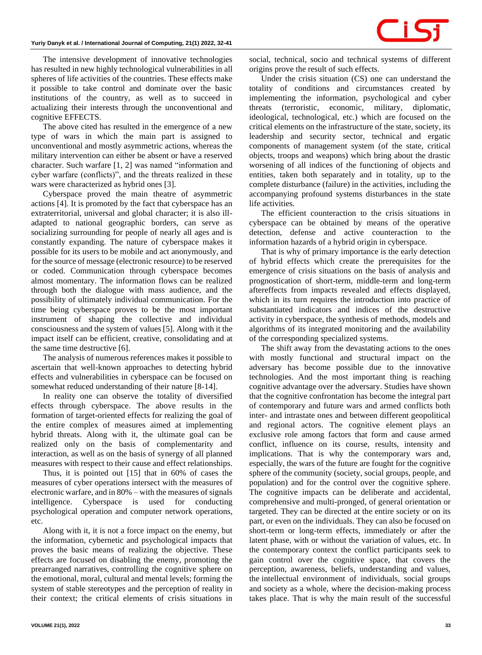The intensive development of innovative technologies has resulted in new highly technological vulnerabilities in all spheres of life activities of the countries. These effects make it possible to take control and dominate over the basic institutions of the country, as well as to succeed in actualizing their interests through the unconventional and cognitive EFFECTS.

The above cited has resulted in the emergence of a new type of wars in which the main part is assigned to unconventional and mostly asymmetric actions, whereas the military intervention can either be absent or have a reserved character. Such warfare [1, 2] was named "information and cyber warfare (conflicts)", and the threats realized in these wars were characterized as hybrid ones [3].

Cyberspace proved the main theatre of asymmetric actions [4]. It is promoted by the fact that cyberspace has an extraterritorial, universal and global character; it is also illadapted to national geographic borders, can serve as socializing surrounding for people of nearly all ages and is constantly expanding. The nature of cyberspace makes it possible for its users to be mobile and act anonymously, and for the source of message (electronic resource) to be reserved or coded. Communication through cyberspace becomes almost momentary. The information flows can be realized through both the dialogue with mass audience, and the possibility of ultimately individual communication. For the time being cyberspace proves to be the most important instrument of shaping the collective and individual consciousness and the system of values [5]. Along with it the impact itself can be efficient, creative, consolidating and at the same time destructive [6].

The analysis of numerous references makes it possible to ascertain that well-known approaches to detecting hybrid effects and vulnerabilities in cyberspace can be focused on somewhat reduced understanding of their nature [8-14].

In reality one can observe the totality of diversified effects through cyberspace. The above results in the formation of target-oriented effects for realizing the goal of the entire complex of measures aimed at implementing hybrid threats. Along with it, the ultimate goal can be realized only on the basis of complementarity and interaction, as well as on the basis of synergy of all planned measures with respect to their cause and effect relationships.

Thus, it is pointed out [15] that in 60% of cases the measures of cyber operations intersect with the measures of electronic warfare, and in 80% – with the measures of signals intelligence. Cyberspace is used for conducting psychological operation and computer network operations, etc.

Along with it, it is not a force impact on the enemy, but the information, cybernetic and psychological impacts that proves the basic means of realizing the objective. These effects are focused on disabling the enemy, promoting the prearranged narratives, controlling the cognitive sphere on the emotional, moral, cultural and mental levels; forming the system of stable stereotypes and the perception of reality in their context; the critical elements of crisis situations in

Under the crisis situation (CS) one can understand the totality of conditions and circumstances created by implementing the information, psychological and cyber threats (terroristic, economic, military, diplomatic, ideological, technological, etc.) which are focused on the critical elements on the infrastructure of the state, society, its leadership and security sector, technical and ergatic components of management system (of the state, critical objects, troops and weapons) which bring about the drastic worsening of all indices of the functioning of objects and entities, taken both separately and in totality, up to the complete disturbance (failure) in the activities, including the accompanying profound systems disturbances in the state life activities.

The efficient counteraction to the crisis situations in cyberspace can be obtained by means of the operative detection, defense and active counteraction to the information hazards of a hybrid origin in cyberspace.

That is why of primary importance is the early detection of hybrid effects which create the prerequisites for the emergence of crisis situations on the basis of analysis and prognostication of short-term, middle-term and long-term aftereffects from impacts revealed and effects displayed, which in its turn requires the introduction into practice of substantiated indicators and indices of the destructive activity in cyberspace, the synthesis of methods, models and algorithms of its integrated monitoring and the availability of the corresponding specialized systems.

The shift away from the devastating actions to the ones with mostly functional and structural impact on the adversary has become possible due to the innovative technologies. And the most important thing is reaching cognitive advantage over the adversary. Studies have shown that the cognitive confrontation has become the integral part of contemporary and future wars and armed conflicts both inter- and intrastate ones and between different geopolitical and regional actors. The cognitive element plays an exclusive role among factors that form and cause armed conflict, influence on its course, results, intensity and implications. That is why the contemporary wars and, especially, the wars of the future are fought for the cognitive sphere of the community (society, social groups, people, and population) and for the control over the cognitive sphere. The cognitive impacts can be deliberate and accidental, comprehensive and multi-pronged, of general orientation or targeted. They can be directed at the entire society or on its part, or even on the individuals. They can also be focused on short-term or long-term effects, immediately or after the latent phase, with or without the variation of values, etc. In the contemporary context the conflict participants seek to gain control over the cognitive space, that covers the perception, awareness, beliefs, understanding and values, the intellectual environment of individuals, social groups and society as a whole, where the decision-making process takes place. That is why the main result of the successful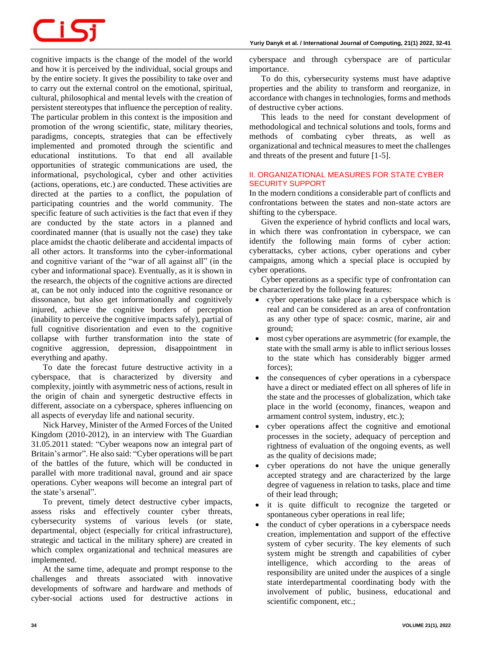# Ci S

cognitive impacts is the change of the model of the world and how it is perceived by the individual, social groups and by the entire society. It gives the possibility to take over and to carry out the external control on the emotional, spiritual, cultural, philosophical and mental levels with the creation of persistent stereotypes that influence the perception of reality. The particular problem in this context is the imposition and promotion of the wrong scientific, state, military theories, paradigms, concepts, strategies that can be effectively implemented and promoted through the scientific and educational institutions. To that end all available opportunities of strategic communications are used, the informational, psychological, cyber and other activities (actions, operations, etc.) are conducted. These activities are directed at the parties to a conflict, the population of participating countries and the world community. The specific feature of such activities is the fact that even if they are conducted by the state actors in a planned and coordinated manner (that is usually not the case) they take place amidst the chaotic deliberate and accidental impacts of all other actors. It transforms into the cyber-informational and cognitive variant of the "war of all against all" (in the cyber and informational space). Eventually, as it is shown in the research, the objects of the cognitive actions are directed at, can be not only induced into the cognitive resonance or dissonance, but also get informationally and cognitively injured, achieve the cognitive borders of perception (inability to perceive the cognitive impacts safely), partial of full cognitive disorientation and even to the cognitive collapse with further transformation into the state of cognitive aggression, depression, disappointment in everything and apathy.

To date the forecast future destructive activity in a cyberspace, that is characterized by diversity and complexity, jointly with asymmetric ness of actions, result in the origin of chain and synergetic destructive effects in different, associate on a cyberspace, spheres influencing on all aspects of everyday life and national security.

Nick Harvey, Minister of the Armed Forces of the United Kingdom (2010-2012), in an interview with The Guardian 31.05.2011 stated: "Cyber weapons now an integral part of Britain's armor". He also said: "Cyber operations will be part of the battles of the future, which will be conducted in parallel with more traditional naval, ground and air space operations. Cyber weapons will become an integral part of the state's arsenal".

To prevent, timely detect destructive cyber impacts, assess risks and effectively counter cyber threats, cybersecurity systems of various levels (or state, departmental, object (especially for critical infrastructure), strategic and tactical in the military sphere) are created in which complex organizational and technical measures are implemented.

At the same time, adequate and prompt response to the challenges and threats associated with innovative developments of software and hardware and methods of cyber-social actions used for destructive actions in

cyberspace and through cyberspace are of particular importance.

To do this, cybersecurity systems must have adaptive properties and the ability to transform and reorganize, in accordance with changes in technologies, forms and methods of destructive cyber actions.

This leads to the need for constant development of methodological and technical solutions and tools, forms and methods of combating cyber threats, as well as organizational and technical measures to meet the challenges and threats of the present and future [1-5].

#### **II. ORGANIZATIONAL MEASURES FOR STATE CYBER SECURITY SUPPORT**

In the modern conditions a considerable part of conflicts and confrontations between the states and non-state actors are shifting to the cyberspace.

Given the experience of hybrid conflicts and local wars, in which there was confrontation in cyberspace, we can identify the following main forms of cyber action: cyberattacks, cyber actions, cyber operations and cyber campaigns, among which a special place is occupied by cyber operations.

Cyber operations as a specific type of confrontation can be characterized by the following features:

- cyber operations take place in a cyberspace which is real and can be considered as an area of confrontation as any other type of space: cosmic, marine, air and ground;
- most cyber operations are asymmetric (for example, the state with the small army is able to inflict serious losses to the state which has considerably bigger armed forces);
- the consequences of cyber operations in a cyberspace have a direct or mediated effect on all spheres of life in the state and the processes of globalization, which take place in the world (economy, finances, weapon and armament control system, industry, etc.);
- cyber operations affect the cognitive and emotional processes in the society, adequacy of perception and rightness of evaluation of the ongoing events, as well as the quality of decisions made;
- cyber operations do not have the unique generally accepted strategy and are characterized by the large degree of vagueness in relation to tasks, place and time of their lead through;
- it is quite difficult to recognize the targeted or spontaneous cyber operations in real life;
- the conduct of cyber operations in a cyberspace needs creation, implementation and support of the effective system of cyber security. The key elements of such system might be strength and capabilities of cyber intelligence, which according to the areas of responsibility are united under the auspices of a single state interdepartmental coordinating body with the involvement of public, business, educational and scientific component, etc.;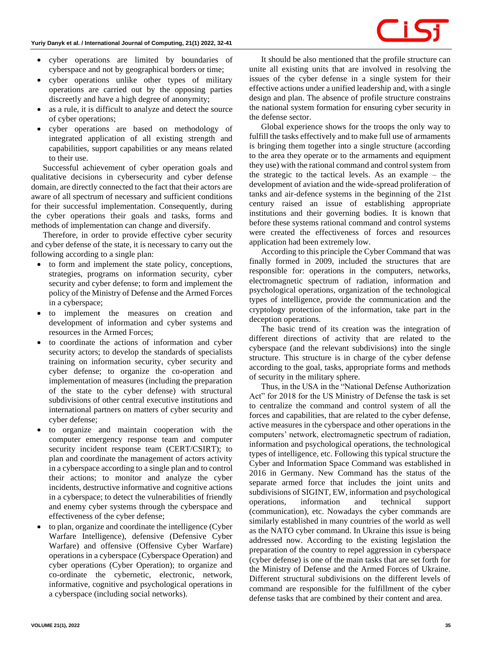- cyber operations are limited by boundaries of cyberspace and not by geographical borders or time;
- cyber operations unlike other types of military operations are carried out by the opposing parties discreetly and have a high degree of anonymity;
- as a rule, it is difficult to analyze and detect the source of cyber operations;
- cyber operations are based on methodology of integrated application of all existing strength and capabilities, support capabilities or any means related to their use.

Successful achievement of cyber operation goals and qualitative decisions in cybersecurity and cyber defense domain, are directly connected to the fact that their actors are aware of all spectrum of necessary and sufficient conditions for their successful implementation. Consequently, during the cyber operations their goals and tasks, forms and methods of implementation can change and diversify.

Therefore, in order to provide effective cyber security and cyber defense of the state, it is necessary to carry out the following according to a single plan:

- to form and implement the state policy, conceptions, strategies, programs on information security, cyber security and cyber defense; to form and implement the policy of the Ministry of Defense and the Armed Forces in a cyberspace;
- to implement the measures on creation and development of information and cyber systems and resources in the Armed Forces;
- to coordinate the actions of information and cyber security actors; to develop the standards of specialists training on information security, cyber security and cyber defense; to organize the co-operation and implementation of measures (including the preparation of the state to the cyber defense) with structural subdivisions of other central executive institutions and international partners on matters of cyber security and cyber defense;
- to organize and maintain cooperation with the computer emergency response team and computer security incident response team (CERT/CSIRT); to plan and coordinate the management of actors activity in a cyberspace according to a single plan and to control their actions; to monitor and analyze the cyber incidents, destructive informative and cognitive actions in a cyberspace; to detect the vulnerabilities of friendly and enemy cyber systems through the cyberspace and effectiveness of the cyber defense;
- to plan, organize and coordinate the intelligence (Cyber Warfare Intelligence), defensive (Defensive Cyber Warfare) and offensive (Offensive Cyber Warfare) operations in a cyberspace (Cyberspace Operation) and cyber operations (Cyber Operation); to organize and co-ordinate the cybernetic, electronic, network, informative, cognitive and psychological operations in a cyberspace (including social networks).

It should be also mentioned that the profile structure can unite all existing units that are involved in resolving the issues of the cyber defense in a single system for their effective actions under a unified leadership and, with a single design and plan. The absence of profile structure constrains the national system formation for ensuring cyber security in the defense sector.

Global experience shows for the troops the only way to fulfill the tasks effectively and to make full use of armaments is bringing them together into a single structure (according to the area they operate or to the armaments and equipment they use) with the rational command and control system from the strategic to the tactical levels. As an example – the development of aviation and the wide-spread proliferation of tanks and air-defence systems in the beginning of the 21st century raised an issue of establishing appropriate institutions and their governing bodies. It is known that before these systems rational command and control systems were created the effectiveness of forces and resources application had been extremely low.

According to this principle the Cyber Command that was finally formed in 2009, included the structures that are responsible for: operations in the computers, networks, electromagnetic spectrum of radiation, information and psychological operations, organization of the technological types of intelligence, provide the communication and the cryptology protection of the information, take part in the deception operations.

The basic trend of its creation was the integration of different directions of activity that are related to the cyberspace (and the relevant subdivisions) into the single structure. This structure is in charge of the cyber defense according to the goal, tasks, appropriate forms and methods of security in the military sphere.

Thus, in the USA in the "National Defense Authorization Act" for 2018 for the US Ministry of Defense the task is set to centralize the command and control system of all the forces and capabilities, that are related to the cyber defense, active measures in the cyberspace and other operations in the computers' network, electromagnetic spectrum of radiation, information and psychological operations, the technological types of intelligence, etc. Following this typical structure the Cyber and Information Space Command was established in 2016 in Germany. New Command has the status of the separate armed force that includes the joint units and subdivisions of SIGINT, EW, information and psychological operations, information and technical support (communication), etc. Nowadays the cyber commands are similarly established in many countries of the world as well as the NATO cyber command. In Ukraine this issue is being addressed now. According to the existing legislation the preparation of the country to repel aggression in cyberspace (cyber defense) is one of the main tasks that are set forth for the Ministry of Defense and the Armed Forces of Ukraine. Different structural subdivisions on the different levels of command are responsible for the fulfillment of the cyber defense tasks that are combined by their content and area.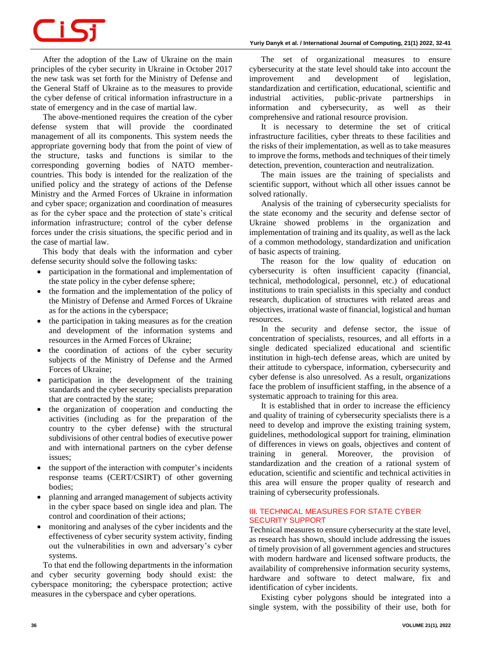#### **Yuriy Danyk** *et al.* **/ International Journal of Computing, 21(1) 2022, 32-41**

## **TIS**

After the adoption of the Law of Ukraine on the main principles of the cyber security in Ukraine in October 2017 the new task was set forth for the Ministry of Defense and the General Staff of Ukraine as to the measures to provide the cyber defense of critical information infrastructure in a state of emergency and in the case of martial law.

The above-mentioned requires the creation of the cyber defense system that will provide the coordinated management of all its components. This system needs the appropriate governing body that from the point of view of the structure, tasks and functions is similar to the corresponding governing bodies of NATO membercountries. This body is intended for the realization of the unified policy and the strategy of actions of the Defense Ministry and the Armed Forces of Ukraine in information and cyber space; organization and coordination of measures as for the cyber space and the protection of state's critical information infrastructure; control of the cyber defense forces under the crisis situations, the specific period and in the case of martial law.

This body that deals with the information and cyber defense security should solve the following tasks:

- participation in the formational and implementation of the state policy in the cyber defense sphere;
- the formation and the implementation of the policy of the Ministry of Defense and Armed Forces of Ukraine as for the actions in the cyberspace;
- the participation in taking measures as for the creation and development of the information systems and resources in the Armed Forces of Ukraine;
- the coordination of actions of the cyber security subjects of the Ministry of Defense and the Armed Forces of Ukraine;
- participation in the development of the training standards and the cyber security specialists preparation that are contracted by the state;
- the organization of cooperation and conducting the activities (including as for the preparation of the country to the cyber defense) with the structural subdivisions of other central bodies of executive power and with international partners on the cyber defense issues;
- the support of the interaction with computer's incidents response teams (CERT/CSIRT) of other governing bodies;
- planning and arranged management of subjects activity in the cyber space based on single idea and plan. The control and coordination of their actions;
- monitoring and analyses of the cyber incidents and the effectiveness of cyber security system activity, finding out the vulnerabilities in own and adversary's cyber systems.

To that end the following departments in the information and cyber security governing body should exist: the cyberspace monitoring; the cyberspace protection; active measures in the cyberspace and cyber operations.

The set of organizational measures to ensure cybersecurity at the state level should take into account the improvement and development of legislation, standardization and certification, educational, scientific and industrial activities, public-private partnerships in information and cybersecurity, as well as their comprehensive and rational resource provision.

It is necessary to determine the set of critical infrastructure facilities, cyber threats to these facilities and the risks of their implementation, as well as to take measures to improve the forms, methods and techniques of their timely detection, prevention, counteraction and neutralization.

The main issues are the training of specialists and scientific support, without which all other issues cannot be solved rationally.

Analysis of the training of cybersecurity specialists for the state economy and the security and defense sector of Ukraine showed problems in the organization and implementation of training and its quality, as well as the lack of a common methodology, standardization and unification of basic aspects of training.

The reason for the low quality of education on cybersecurity is often insufficient capacity (financial, technical, methodological, personnel, etc.) of educational institutions to train specialists in this specialty and conduct research, duplication of structures with related areas and objectives, irrational waste of financial, logistical and human resources.

In the security and defense sector, the issue of concentration of specialists, resources, and all efforts in a single dedicated specialized educational and scientific institution in high-tech defense areas, which are united by their attitude to cyberspace, information, cybersecurity and cyber defense is also unresolved. As a result, organizations face the problem of insufficient staffing, in the absence of a systematic approach to training for this area.

It is established that in order to increase the efficiency and quality of training of cybersecurity specialists there is a need to develop and improve the existing training system, guidelines, methodological support for training, elimination of differences in views on goals, objectives and content of training in general. Moreover, the provision of standardization and the creation of a rational system of education, scientific and scientific and technical activities in this area will ensure the proper quality of research and training of cybersecurity professionals.

#### **III. TECHNICAL MEASURES FOR STATE CYBER SECURITY SUPPORT**

Technical measures to ensure cybersecurity at the state level, as research has shown, should include addressing the issues of timely provision of all government agencies and structures with modern hardware and licensed software products, the availability of comprehensive information security systems, hardware and software to detect malware, fix and identification of cyber incidents.

Existing cyber polygons should be integrated into a single system, with the possibility of their use, both for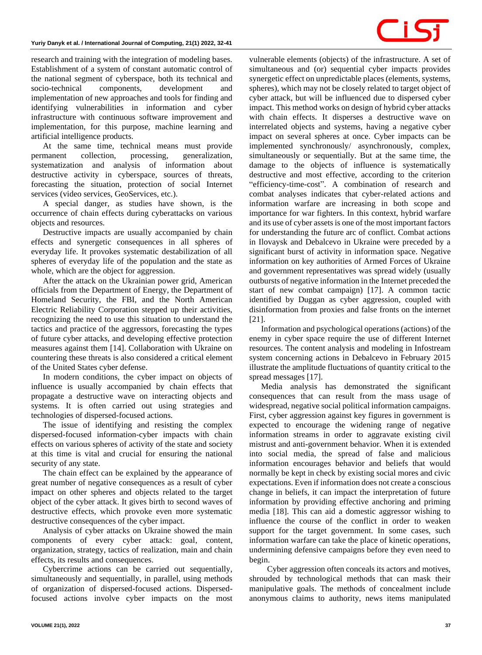research and training with the integration of modeling bases. Establishment of a system of constant automatic control of the national segment of cyberspace, both its technical and socio-technical components, development and implementation of new approaches and tools for finding and identifying vulnerabilities in information and cyber infrastructure with continuous software improvement and implementation, for this purpose, machine learning and artificial intelligence products.

At the same time, technical means must provide permanent collection, processing, generalization, systematization and analysis of information about destructive activity in cyberspace, sources of threats, forecasting the situation, protection of social Internet services (video services, GeoServices, etc.).

A special danger, as studies have shown, is the occurrence of chain effects during cyberattacks on various objects and resources.

Destructive impacts are usually accompanied by chain effects and synergetic consequences in all spheres of everyday life. It provokes systematic destabilization of all spheres of everyday life of the population and the state as whole, which are the object for aggression.

After the attack on the Ukrainian power grid, American officials from the Department of Energy, the Department of Homeland Security, the FBI, and the North American Electric Reliability Corporation stepped up their activities, recognizing the need to use this situation to understand the tactics and practice of the aggressors, forecasting the types of future cyber attacks, and developing effective protection measures against them [14]. Collaboration with Ukraine on countering these threats is also considered a critical element of the United States cyber defense.

In modern conditions, the cyber impact on objects of influence is usually accompanied by chain effects that propagate a destructive wave on interacting objects and systems. It is often carried out using strategies and technologies of dispersed-focused actions.

The issue of identifying and resisting the complex dispersed-focused information-cyber impacts with chain effects on various spheres of activity of the state and society at this time is vital and crucial for ensuring the national security of any state.

The chain effect can be explained by the appearance of great number of negative consequences as a result of cyber impact on other spheres and objects related to the target object of the cyber attack. It gives birth to second waves of destructive effects, which provoke even more systematic destructive consequences of the cyber impact.

Analysis of cyber attacks on Ukraine showed the main components of every cyber attack: goal, content, organization, strategy, tactics of realization, main and chain effects, its results and consequences.

Cybercrime actions can be carried out sequentially, simultaneously and sequentially, in parallel, using methods of organization of dispersed-focused actions. Dispersedfocused actions involve cyber impacts on the most vulnerable elements (objects) of the infrastructure. A set of simultaneous and (or) sequential cyber impacts provides synergetic effect on unpredictable places (elements, systems, spheres), which may not be closely related to target object of cyber attack, but will be influenced due to dispersed cyber impact. This method works on design of hybrid cyber attacks with chain effects. It disperses a destructive wave on interrelated objects and systems, having a negative cyber impact on several spheres at once. Cyber impacts can be implemented synchronously/ asynchronously, complex, simultaneously or sequentially. But at the same time, the damage to the objects of influence is systematically destructive and most effective, according to the criterion "efficiency-time-cost". A combination of research and combat analyses indicates that cyber-related actions and information warfare are increasing in both scope and importance for war fighters. In this context, hybrid warfare and its use of cyber assets is one of the most important factors for understanding the future arc of conflict. Combat actions in Ilovaysk and Debalcevo in Ukraine were preceded by a significant burst of activity in information space. Negative information on key authorities of Armed Forces of Ukraine and government representatives was spread widely (usually outbursts of negative information in the Internet preceded the start of new combat campaign) [17]. A common tactic identified by Duggan as cyber aggression, coupled with disinformation from proxies and false fronts on the internet [21].

Information and psychological operations (actions) of the enemy in cyber space require the use of different Internet resources. The content analysis and modeling in Infostream system concerning actions in Debalcevo in February 2015 illustrate the amplitude fluctuations of quantity critical to the spread messages [17].

Media analysis has demonstrated the significant consequences that can result from the mass usage of widespread, negative social political information campaigns. First, cyber aggression against key figures in government is expected to encourage the widening range of negative information streams in order to aggravate existing civil mistrust and anti-government behavior. When it is extended into social media, the spread of false and malicious information encourages behavior and beliefs that would normally be kept in check by existing social mores and civic expectations. Even if information does not create a conscious change in beliefs, it can impact the interpretation of future information by providing effective anchoring and priming media [18]. This can aid a domestic aggressor wishing to influence the course of the conflict in order to weaken support for the target government. In some cases, such information warfare can take the place of kinetic operations, undermining defensive campaigns before they even need to begin.

Cyber aggression often conceals its actors and motives, shrouded by technological methods that can mask their manipulative goals. The methods of concealment include anonymous claims to authority, news items manipulated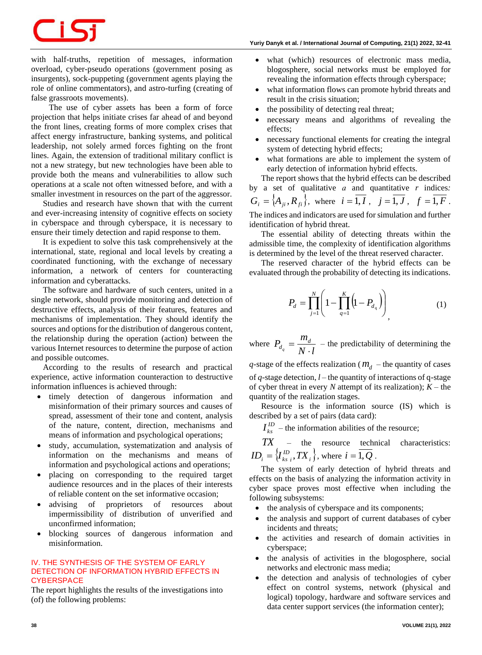### -15

with half-truths, repetition of messages, information overload, cyber-pseudo operations (government posing as insurgents), sock-puppeting (government agents playing the role of online commentators), and astro-turfing (creating of false grassroots movements).

The use of cyber assets has been a form of force projection that helps initiate crises far ahead of and beyond the front lines, creating forms of more complex crises that affect energy infrastructure, banking systems, and political leadership, not solely armed forces fighting on the front lines. Again, the extension of traditional military conflict is not a new strategy, but new technologies have been able to provide both the means and vulnerabilities to allow such operations at a scale not often witnessed before, and with a smaller investment in resources on the part of the aggressor.

Studies and research have shown that with the current and ever-increasing intensity of cognitive effects on society in cyberspace and through cyberspace, it is necessary to ensure their timely detection and rapid response to them.

It is expedient to solve this task comprehensively at the international, state, regional and local levels by creating a coordinated functioning, with the exchange of necessary information, a network of centers for counteracting information and cyberattacks.

The software and hardware of such centers, united in a single network, should provide monitoring and detection of destructive effects, analysis of their features, features and mechanisms of implementation. They should identify the sources and options for the distribution of dangerous content, the relationship during the operation (action) between the various Internet resources to determine the purpose of action and possible outcomes.

According to the results of research and practical experience, active information counteraction to destructive information influences is achieved through:

- timely detection of dangerous information and misinformation of their primary sources and causes of spread, assessment of their tone and content, analysis of the nature, content, direction, mechanisms and means of information and psychological operations;
- study, accumulation, systematization and analysis of information on the mechanisms and means of information and psychological actions and operations;
- placing on corresponding to the required target audience resources and in the places of their interests of reliable content on the set informative occasion;
- advising of proprietors of resources about impermissibility of distribution of unverified and unconfirmed information;
- blocking sources of dangerous information and misinformation.

#### **IV. THE SYNTHESIS OF THE SYSTEM OF EARLY DETECTION OF INFORMATION HYBRID EFFECTS IN CYBERSPACE**

The report highlights the results of the investigations into (of) the following problems:

- what (which) resources of electronic mass media, blogosphere, social networks must be employed for revealing the information effects through cyberspace;
- what information flows can promote hybrid threats and result in the crisis situation;
- the possibility of detecting real threat;
- necessary means and algorithms of revealing the effects;
- necessary functional elements for creating the integral system of detecting hybrid effects;
- what formations are able to implement the system of early detection of information hybrid effects.

The report shows that the hybrid effects can be described by a set of qualitative *а* and quantitative *r* indices*:*  $G_i = \{A_{ji}, R_{fi}\}, \text{ where } i = 1, I, j = 1, J, f = 1, F.$ The indices and indicators are used for simulation and further

identification of hybrid threat. The essential ability of detecting threats within the admissible time, the complexity of identification algorithms is determined by the level of the threat reserved character.

The reserved character of the hybrid effects can be evaluated through the probability of detecting its indications.

$$
P_d = \prod_{j=1}^{N} \left( 1 - \prod_{q=1}^{K} \left( 1 - P_{d_q} \right) \right)_{q}
$$
 (1)

where  $P_{d_q} = \frac{m_d}{N \cdot l}$  $P_{d_q} = \frac{m_d}{N}.$  $=\frac{m_d}{\sigma}$  – the predictability of determining the

 $q$ -stage of the effects realization ( $m_d$  – the quantity of cases of *q*-stage detection, *l* – the quantity of interactions of q-stage of cyber threat in every  $N$  attempt of its realization);  $K$  – the quantity of the realization stages.

Resource is the information source (IS) which is described by a set of pairs (data card):

 $I_{ks}^{ID}$  – the information abilities of the resource;

 $TX$  – the resource technical characteristics:  $ID_i = \left\{ I_{ks_i}^{ID}, TX_i \right\}$ , where  $i = \overline{1, Q}$ .

The system of early detection of hybrid threats and effects on the basis of analyzing the information activity in cyber space proves most effective when including the following subsystems:

- the analysis of cyberspace and its components;
- the analysis and support of current databases of cyber incidents and threats;
- the activities and research of domain activities in cyberspace;
- the analysis of activities in the blogosphere, social networks and electronic mass media;
- the detection and analysis of technologies of cyber effect on control systems, network (physical and logical) topology, hardware and software services and data center support services (the information center);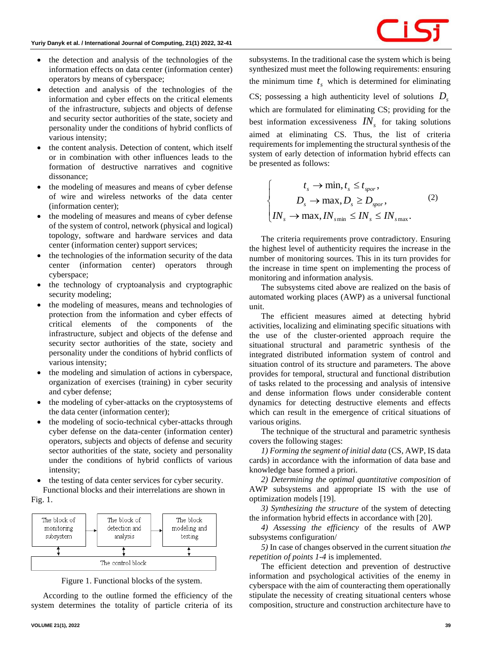- the detection and analysis of the technologies of the information effects on data center (information center) operators by means of cyberspace;
- detection and analysis of the technologies of the information and cyber effects on the critical elements of the infrastructure, subjects and objects of defense and security sector authorities of the state, society and personality under the conditions of hybrid conflicts of various intensity;
- the content analysis. Detection of content, which itself or in combination with other influences leads to the formation of destructive narratives and cognitive dissonance;
- the modeling of measures and means of cyber defense of wire and wireless networks of the data center (information center);
- the modeling of measures and means of cyber defense of the system of control, network (physical and logical) topology, software and hardware services and data center (information center) support services;
- the technologies of the information security of the data center (information center) operators through cyberspace;
- the technology of cryptoanalysis and cryptographic security modeling;
- the modeling of measures, means and technologies of protection from the information and cyber effects of critical elements of the components of the infrastructure, subject and objects of the defense and security sector authorities of the state, society and personality under the conditions of hybrid conflicts of various intensity;
- the modeling and simulation of actions in cyberspace, organization of exercises (training) in cyber security and cyber defense;
- the modeling of cyber-attacks on the cryptosystems of the data center (information center);
- the modeling of socio-technical cyber-attacks through cyber defense on the data-center (information center) operators, subjects and objects of defense and security sector authorities of the state, society and personality under the conditions of hybrid conflicts of various intensity;
- the testing of data center services for cyber security.

Functional blocks and their interrelations are shown in Fig. 1.



Figure 1. Functional blocks of the system.

According to the outline formed the efficiency of the system determines the totality of particle criteria of its subsystems. In the traditional case the system which is being synthesized must meet the following requirements: ensuring the minimum time  $t_s$  which is determined for eliminating CS; possessing a high authenticity level of solutions *Ds* which are formulated for eliminating CS; providing for the best information excessiveness  $IN_s$  for taking solutions aimed at eliminating CS. Thus, the list of criteria requirements for implementing the structural synthesis of the system of early detection of information hybrid effects can be presented as follows:

$$
\begin{cases}\n t_s \to \min, t_s \le t_{spor}, \\
D_s \to \max, D_s \ge D_{spor}, \\
IN_s \to \max, IN_{smin} \le IN_s \le IN_{smax}.\n\end{cases}
$$
\n(2)

The criteria requirements prove contradictory. Ensuring the highest level of authenticity requires the increase in the number of monitoring sources. This in its turn provides for the increase in time spent on implementing the process of monitoring and information analysis.

The subsystems cited above are realized on the basis of automated working places (AWP) as a universal functional unit.

The efficient measures aimed at detecting hybrid activities, localizing and eliminating specific situations with the use of the cluster-oriented approach require the situational structural and parametric synthesis of the integrated distributed information system of control and situation control of its structure and parameters. The above provides for temporal, structural and functional distribution of tasks related to the processing and analysis of intensive and dense information flows under considerable content dynamics for detecting destructive elements and effects which can result in the emergence of critical situations of various origins.

The technique of the structural and parametric synthesis covers the following stages:

*1) Forming the segment of initial data* (CS, AWP, IS data cards) in accordance with the information of data base and knowledge base formed a priori.

*2) Determining the optimal quantitative composition* of AWP subsystems and appropriate IS with the use of optimization models [19].

*3) Synthesizing the structure* of the system of detecting the information hybrid effects in accordance with [20].

*4) Assessing the efficiency* of the results of AWP subsystems configuration/

*5)* In case of changes observed in the current situation *the repetition of points 1-4* is implemented.

The efficient detection and prevention of destructive information and psychological activities of the enemy in cyberspace with the aim of counteracting them operationally stipulate the necessity of creating situational centers whose composition, structure and construction architecture have to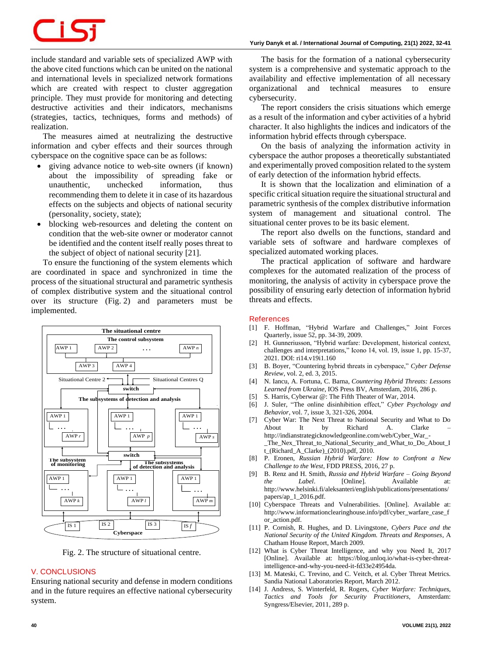# 71 S

include standard and variable sets of specialized AWP with the above cited functions which can be united on the national and international levels in specialized network formations which are created with respect to cluster aggregation principle. They must provide for monitoring and detecting destructive activities and their indicators, mechanisms (strategies, tactics, techniques, forms and methods) of realization.

The measures aimed at neutralizing the destructive information and cyber effects and their sources through cyberspace on the cognitive space can be as follows:

- giving advance notice to web-site owners (if known) about the impossibility of spreading fake or unauthentic, unchecked information, thus recommending them to delete it in case of its hazardous effects on the subjects and objects of national security (personality, society, state);
- blocking web-resources and deleting the content on condition that the web-site owner or moderator cannot be identified and the content itself really poses threat to the subject of object of national security [21].

To ensure the functioning of the system elements which are coordinated in space and synchronized in time the process of the situational structural and parametric synthesis of complex distributive system and the situational control over its structure (Fig. 2) and parameters must be implemented.



Fig. 2. The structure of situational centre.

#### **V. CONCLUSIONS**

Ensuring national security and defense in modern conditions and in the future requires an effective national cybersecurity system.

The basis for the formation of a national cybersecurity system is a comprehensive and systematic approach to the availability and effective implementation of all necessary organizational and technical measures to ensure cybersecurity.

The report considers the crisis situations which emerge as a result of the information and cyber activities of a hybrid character. It also highlights the indices and indicators of the information hybrid effects through cyberspace.

On the basis of analyzing the information activity in cyberspace the author proposes a theoretically substantiated and experimentally proved composition related to the system of early detection of the information hybrid effects.

It is shown that the localization and elimination of a specific critical situation require the situational structural and parametric synthesis of the complex distributive information system of management and situational control. The situational center proves to be its basic element.

The report also dwells on the functions, standard and variable sets of software and hardware complexes of specialized automated working places.

The practical application of software and hardware complexes for the automated realization of the process of monitoring, the analysis of activity in cyberspace prove the possibility of ensuring early detection of information hybrid threats and effects.

#### **References**

- [1] F. Hoffman, "Hybrid Warfare and Challenges," Joint Forces Quarterly, issue 52, pp. 34-39, 2009.
- [2] H. Gunneriusson, "Hybrid warfare: Development, historical context, challenges and interpretations," Icono 14, vol. 19, issue 1, pp. 15-37, 2021. DOI: ri14.v19i1.160
- [3] B. Boyer, "Countering hybrid threats in cyberspace," *Cyber Defense Review*, vol. 2, ed. 3, 2015.
- [4] N. Iancu, A. Fortuna, C. Barna, *Countering Hybrid Threats: Lessons Learned from Ukraine*, IOS Press BV, Amsterdam, 2016, 286 p.
- [5] S. Harris, Cyberwar @: The Fifth Theater of War, 2014.
- [6] J. Suler, "The online disinhibition effect," *Cyber Psychology and Behavior*, vol. 7, issue 3, 321-326, 2004.
- [7] Cyber War: The Next Threat to National Security and What to Do About It by Richard A. Clarke http://indianstrategicknowledgeonline.com/web/Cyber\_War\_- \_The\_Nex\_Threat\_to\_National\_Security\_and\_What\_to\_Do\_About\_I t\_(Richard\_A\_Clarke)\_(2010).pdf, 2010.
- [8] P. Eronen, *Russian Hybrid Warfare: How to Confront a New Challenge to the West*, FDD PRESS, 2016, 27 p.
- [9] B. Renz and H. Smith, *Russia and Hybrid Warfare – Going Beyond the Label.* [Online]. Available at: http://www.helsinki.fi/aleksanteri/english/publications/presentations/ papers/ap\_1\_2016.pdf.
- [10] Cyberspace Threats and Vulnerabilities. [Online]. Available at: http://www.informationclearinghouse.info/pdf/cyber\_warfare\_case\_f or\_action.pdf.
- [11] P. Cornish, R. Hughes, and D. Livingstone, *Cybers Pace and the National Security of the United Kingdom. Threats and Responses*, A Chatham House Report, March 2009.
- [12] What is Cyber Threat Intelligence, and why you Need It, 2017 [Online]. Available at: https://blog.unloq.io/what-is-cyber-threatintelligence-and-why-you-need-it-fd33e24954da.
- [13] M. Mateski, C. Trevino, and C. Veitch, et al. Cyber Threat Metrics. Sandia National Laboratories Report, March 2012.
- [14] J. Andress, S. Winterfeld, R. Rogers, *Cyber Warfare: Techniques, Tactics and Tools for Security Practitioners*, Amsterdam: Syngress/Elsevier, 2011, 289 p.